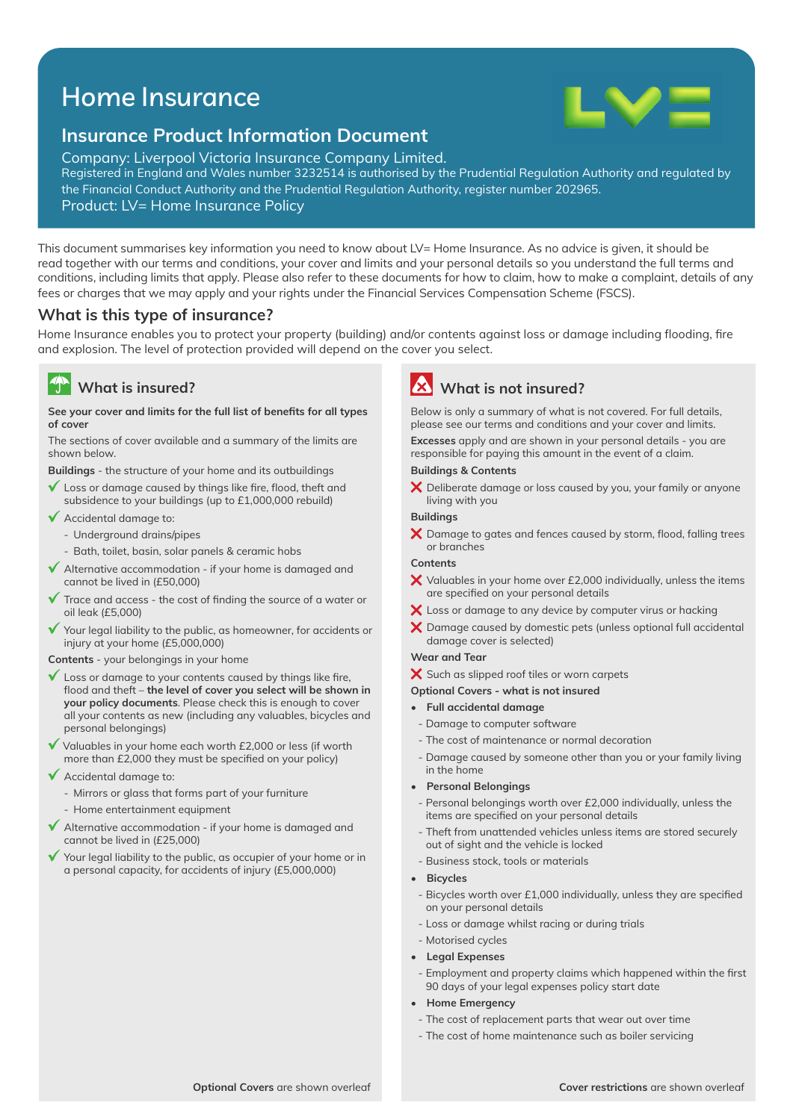# Home Insurance



## **Insurance Product Information Document**

Company: Liverpool Victoria Insurance Company Limited. Registered in England and Wales number 3232514 is authorised by the Prudential Regulation Authority and regulated by the Financial Conduct Authority and the Prudential Regulation Authority, register number 202965.

Product: LV= Home Insurance Policy

This document summarises key information you need to know about LV= Home Insurance. As no advice is given, it should be read together with our terms and conditions, your cover and limits and your personal details so you understand the full terms and conditions, including limits that apply. Please also refer to these documents for how to claim, how to make a complaint, details of any fees or charges that we may apply and your rights under the Financial Services Compensation Scheme (FSCS).

## **What is this type of insurance?**

Home Insurance enables you to protect your property (building) and/or contents against loss or damage including flooding, fire and explosion. The level of protection provided will depend on the cover you select.

#### $\sqrt{2}$ **What is insured?**

#### See your cover and limits for the full list of benefits for all types **of cover**

The sections of cover available and a summary of the limits are shown below.

**Buildings** - the structure of your home and its outbuildings

- $\checkmark$  Loss or damage caused by things like fire, flood, theft and subsidence to your buildings (up to £1,000,000 rebuild)
- $\sqrt{\phantom{a}}$  Accidental damage to:
	- Underground drains/pipes
	- Bath, toilet, basin, solar panels & ceramic hobs
- $\blacklozenge$  Alternative accommodation if your home is damaged and cannot be lived in (£50,000)
- $\checkmark$  Trace and access the cost of finding the source of a water or oil leak (£5,000)
- Your legal liability to the public, as homeowner, for accidents or injury at your home (£5,000,000)

**Contents** - your belongings in your home

- $\checkmark$  Loss or damage to your contents caused by things like fire, flood and theft – the level of cover you select will be shown in **your policy documents**. Please check this is enough to cover all your contents as new (including any valuables, bicycles and personal belongings)
- $\checkmark$  Valuables in your home each worth £2,000 or less (if worth more than £2,000 they must be specified on your policy)
- Accidental damage to:
	- Mirrors or glass that forms part of your furniture
	- Home entertainment equipment
- $\checkmark$  Alternative accommodation if your home is damaged and cannot be lived in (£25,000)
- Your legal liability to the public, as occupier of your home or in a personal capacity, for accidents of injury (£5,000,000)

**What is not insured?**

Below is only a summary of what is not covered. For full details, please see our terms and conditions and your cover and limits.

**Excesses** apply and are shown in your personal details - you are responsible for paying this amount in the event of a claim.

## **Buildings & Contents**

X Deliberate damage or loss caused by you, your family or anyone living with you

## **Buildings**

 $\boldsymbol{\times}$  Damage to gates and fences caused by storm, flood, falling trees or branches

### **Contents**

- $\bm{\times}$  Valuables in your home over £2,000 individually, unless the items are specified on your personal details
- $\bm{\times}$  Loss or damage to any device by computer virus or hacking
- $\bm{\times}$  Damage caused by domestic pets (unless optional full accidental damage cover is selected)

## **Wear and Tear**

- X Such as slipped roof tiles or worn carpets
- **Optional Covers what is not insured**
- **Full accidental damage**
- Damage to computer software
- The cost of maintenance or normal decoration
- Damage caused by someone other than you or your family living in the home
- **Personal Belongings**
- Personal belongings worth over £2,000 individually, unless the items are specified on your personal details
- Theft from unattended vehicles unless items are stored securely out of sight and the vehicle is locked
- Business stock, tools or materials
- **Bicycles**
	- Bicycles worth over £1,000 individually, unless they are specified on your personal details
- Loss or damage whilst racing or during trials
- Motorised cycles
- **Legal Expenses**
- Employment and property claims which happened within the first 90 days of your legal expenses policy start date
- **Home Emergency**
- The cost of replacement parts that wear out over time
- The cost of home maintenance such as boiler servicing